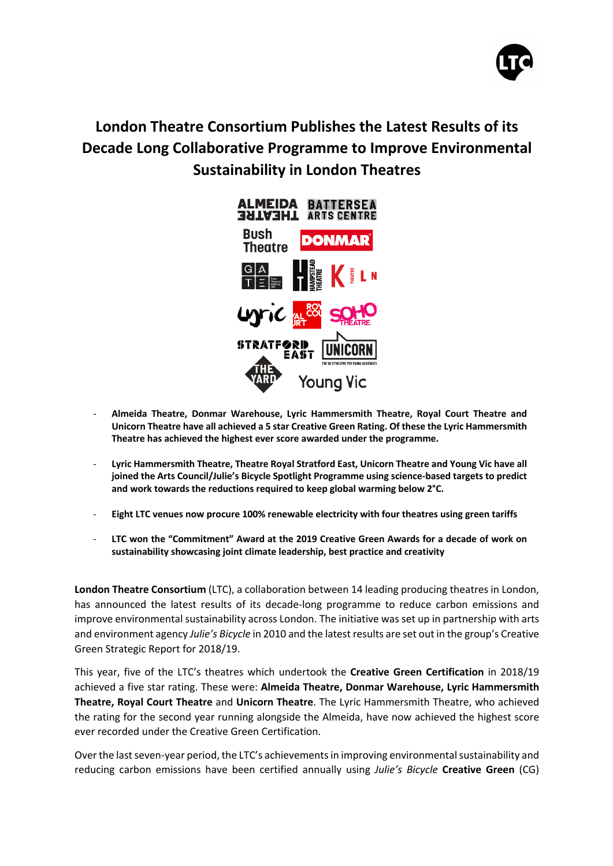

# **London Theatre Consortium Publishes the Latest Results of its Decade Long Collaborative Programme to Improve Environmental Sustainability in London Theatres**



- **Almeida Theatre, Donmar Warehouse, Lyric Hammersmith Theatre, Royal Court Theatre and Unicorn Theatre have all achieved a 5 star Creative Green Rating. Of these the Lyric Hammersmith Theatre has achieved the highest ever score awarded under the programme.**
- **Lyric Hammersmith Theatre, Theatre Royal Stratford East, Unicorn Theatre and Young Vic have all joined the Arts Council/Julie's Bicycle Spotlight Programme using science-based targets to predict and work towards the reductions required to keep global warming below 2°C.**
- **Eight LTC venues now procure 100% renewable electricity with four theatres using green tariffs**
- **LTC won the "Commitment" Award at the 2019 Creative Green Awards for a decade of work on sustainability showcasing joint climate leadership, best practice and creativity**

**London Theatre Consortium** (LTC), a collaboration between 14 leading producing theatres in London, has announced the latest results of its decade-long programme to reduce carbon emissions and improve environmental sustainability across London. The initiative was set up in partnership with arts and environment agency *Julie's Bicycle* in 2010 and the latest results are set out in the group's Creative Green Strategic Report for 2018/19.

This year, five of the LTC's theatres which undertook the **Creative Green Certification** in 2018/19 achieved a five star rating. These were: **Almeida Theatre, Donmar Warehouse, Lyric Hammersmith Theatre, Royal Court Theatre** and **Unicorn Theatre**. The Lyric Hammersmith Theatre, who achieved the rating for the second year running alongside the Almeida, have now achieved the highest score ever recorded under the Creative Green Certification.

Over the last seven-year period, the LTC's achievements in improving environmental sustainability and reducing carbon emissions have been certified annually using *Julie's Bicycle* **Creative Green** (CG)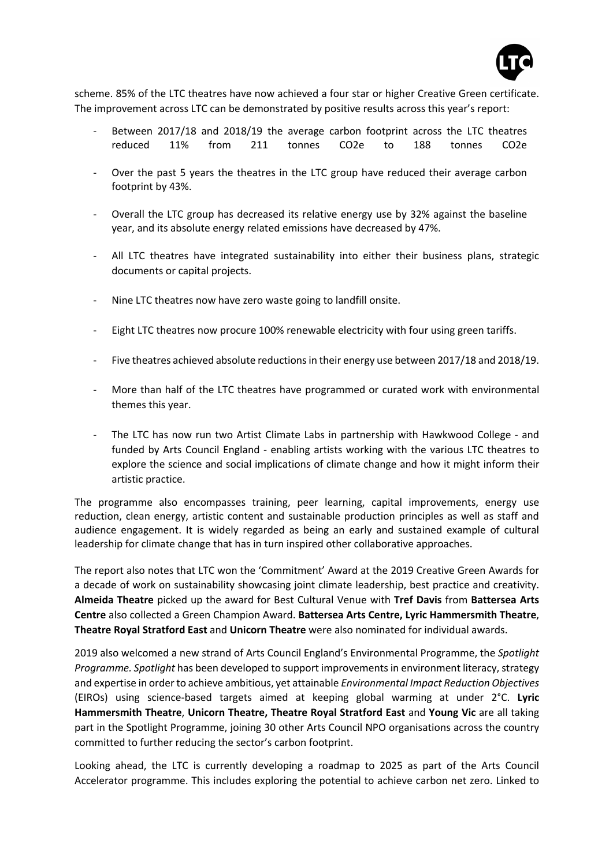

scheme. 85% of the LTC theatres have now achieved a four star or higher Creative Green certificate. The improvement across LTC can be demonstrated by positive results across this year's report:

- Between 2017/18 and 2018/19 the average carbon footprint across the LTC theatres reduced 11% from 211 tonnes CO2e to 188 tonnes CO2e
- Over the past 5 years the theatres in the LTC group have reduced their average carbon footprint by 43%.
- Overall the LTC group has decreased its relative energy use by 32% against the baseline year, and its absolute energy related emissions have decreased by 47%.
- All LTC theatres have integrated sustainability into either their business plans, strategic documents or capital projects.
- Nine LTC theatres now have zero waste going to landfill onsite.
- Eight LTC theatres now procure 100% renewable electricity with four using green tariffs.
- Five theatres achieved absolute reductions in their energy use between 2017/18 and 2018/19.
- More than half of the LTC theatres have programmed or curated work with environmental themes this year.
- The LTC has now run two Artist Climate Labs in partnership with Hawkwood College and funded by Arts Council England - enabling artists working with the various LTC theatres to explore the science and social implications of climate change and how it might inform their artistic practice.

The programme also encompasses training, peer learning, capital improvements, energy use reduction, clean energy, artistic content and sustainable production principles as well as staff and audience engagement. It is widely regarded as being an early and sustained example of cultural leadership for climate change that has in turn inspired other collaborative approaches.

The report also notes that LTC won the 'Commitment' Award at the 2019 Creative Green Awards for a decade of work on sustainability showcasing joint climate leadership, best practice and creativity. **Almeida Theatre** picked up the award for Best Cultural Venue with **Tref Davis** from **Battersea Arts Centre** also collected a Green Champion Award. **Battersea Arts Centre, Lyric Hammersmith Theatre**, **Theatre Royal Stratford East** and **Unicorn Theatre** were also nominated for individual awards.

2019 also welcomed a new strand of Arts Council England's Environmental Programme, the *Spotlight Programme. Spotlight* has been developed to support improvements in environment literacy, strategy and expertise in order to achieve ambitious, yet attainable *Environmental Impact Reduction Objectives* (EIROs) using science-based targets aimed at keeping global warming at under 2°C. **Lyric Hammersmith Theatre**, **Unicorn Theatre, Theatre Royal Stratford East** and **Young Vic** are all taking part in the Spotlight Programme, joining 30 other Arts Council NPO organisations across the country committed to further reducing the sector's carbon footprint.

Looking ahead, the LTC is currently developing a roadmap to 2025 as part of the Arts Council Accelerator programme. This includes exploring the potential to achieve carbon net zero. Linked to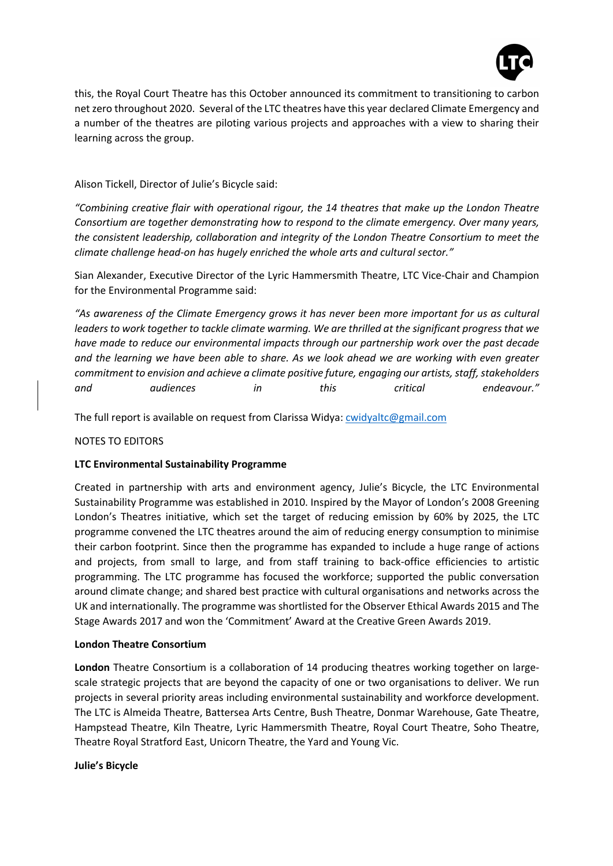

this, the Royal Court Theatre has this October announced its commitment to transitioning to carbon net zero throughout 2020. Several of the LTC theatres have this year declared Climate Emergency and a number of the theatres are piloting various projects and approaches with a view to sharing their learning across the group.

Alison Tickell, Director of Julie's Bicycle said:

*"Combining creative flair with operational rigour, the 14 theatres that make up the London Theatre Consortium are together demonstrating how to respond to the climate emergency. Over many years, the consistent leadership, collaboration and integrity of the London Theatre Consortium to meet the climate challenge head-on has hugely enriched the whole arts and cultural sector."*

Sian Alexander, Executive Director of the Lyric Hammersmith Theatre, LTC Vice-Chair and Champion for the Environmental Programme said:

*"As awareness of the Climate Emergency grows it has never been more important for us as cultural leaders to work together to tackle climate warming. We are thrilled at the significant progress that we have made to reduce our environmental impacts through our partnership work over the past decade and the learning we have been able to share. As we look ahead we are working with even greater commitment to envision and achieve a climate positive future, engaging our artists, staff, stakeholders and audiences in this critical endeavour."* 

The full report is available on request from Clarissa Widya: cwidyaltc@gmail.com

## NOTES TO EDITORS

## **LTC Environmental Sustainability Programme**

Created in partnership with arts and environment agency, Julie's Bicycle, the LTC Environmental Sustainability Programme was established in 2010. Inspired by the Mayor of London's 2008 Greening London's Theatres initiative, which set the target of reducing emission by 60% by 2025, the LTC programme convened the LTC theatres around the aim of reducing energy consumption to minimise their carbon footprint. Since then the programme has expanded to include a huge range of actions and projects, from small to large, and from staff training to back-office efficiencies to artistic programming. The LTC programme has focused the workforce; supported the public conversation around climate change; and shared best practice with cultural organisations and networks across the UK and internationally. The programme was shortlisted for the Observer Ethical Awards 2015 and The Stage Awards 2017 and won the 'Commitment' Award at the Creative Green Awards 2019.

## **London Theatre Consortium**

**London** Theatre Consortium is a collaboration of 14 producing theatres working together on largescale strategic projects that are beyond the capacity of one or two organisations to deliver. We run projects in several priority areas including environmental sustainability and workforce development. The LTC is Almeida Theatre, Battersea Arts Centre, Bush Theatre, Donmar Warehouse, Gate Theatre, Hampstead Theatre, Kiln Theatre, Lyric Hammersmith Theatre, Royal Court Theatre, Soho Theatre, Theatre Royal Stratford East, Unicorn Theatre, the Yard and Young Vic.

## **Julie's Bicycle**